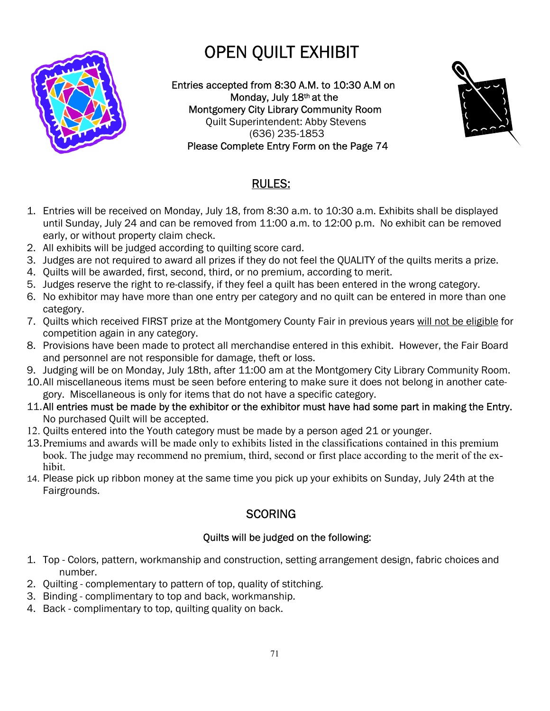# OPEN QUILT EXHIBIT



Entries accepted from 8:30 A.M. to 10:30 A.M on Monday, July 18th at the Montgomery City Library Community Room Quilt Superintendent: Abby Stevens (636) 235-1853 Please Complete Entry Form on the Page 74



## RULES:

- 1. Entries will be received on Monday, July 18, from 8:30 a.m. to 10:30 a.m. Exhibits shall be displayed until Sunday, July 24 and can be removed from 11:00 a.m. to 12:00 p.m. No exhibit can be removed early, or without property claim check.
- 2. All exhibits will be judged according to quilting score card.
- 3. Judges are not required to award all prizes if they do not feel the QUALITY of the quilts merits a prize.
- 4. Quilts will be awarded, first, second, third, or no premium, according to merit.
- 5. Judges reserve the right to re-classify, if they feel a quilt has been entered in the wrong category.
- 6. No exhibitor may have more than one entry per category and no quilt can be entered in more than one category.
- 7. Quilts which received FIRST prize at the Montgomery County Fair in previous years will not be eligible for competition again in any category.
- 8. Provisions have been made to protect all merchandise entered in this exhibit. However, the Fair Board and personnel are not responsible for damage, theft or loss.
- 9. Judging will be on Monday, July 18th, after 11:00 am at the Montgomery City Library Community Room.
- 10.All miscellaneous items must be seen before entering to make sure it does not belong in another category. Miscellaneous is only for items that do not have a specific category.
- 11. All entries must be made by the exhibitor or the exhibitor must have had some part in making the Entry. No purchased Quilt will be accepted.
- 12. Quilts entered into the Youth category must be made by a person aged 21 or younger.
- 13. Premiums and awards will be made only to exhibits listed in the classifications contained in this premium book. The judge may recommend no premium, third, second or first place according to the merit of the exhibit.
- 14. Please pick up ribbon money at the same time you pick up your exhibits on Sunday, July 24th at the Fairgrounds.

# **SCORING**

## Quilts will be judged on the following:

- 1. Top Colors, pattern, workmanship and construction, setting arrangement design, fabric choices and number.
- 2. Quilting complementary to pattern of top, quality of stitching.
- 3. Binding complimentary to top and back, workmanship.
- 4. Back complimentary to top, quilting quality on back.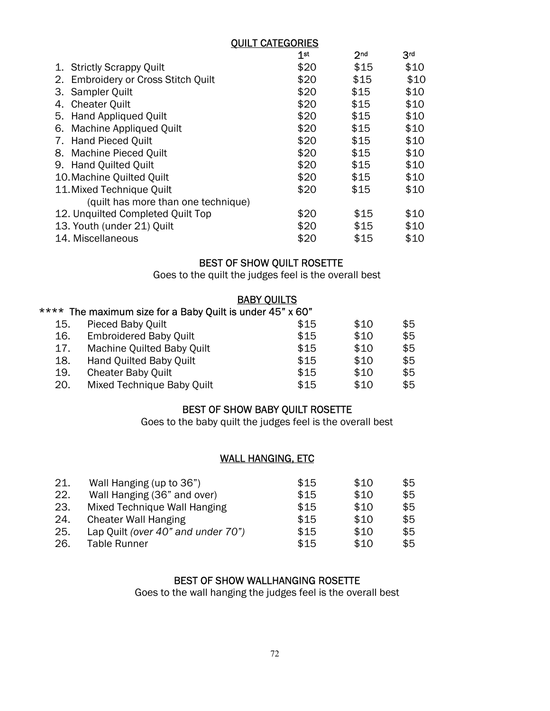|                                               | <b>QUILT CATEGORIES</b> |                 |                 |  |  |  |
|-----------------------------------------------|-------------------------|-----------------|-----------------|--|--|--|
|                                               | 1 <sup>st</sup>         | 2 <sub>nd</sub> | 3 <sup>rd</sup> |  |  |  |
| 1. Strictly Scrappy Quilt                     | \$20                    | \$15            | \$10            |  |  |  |
| <b>Embroidery or Cross Stitch Quilt</b><br>2. | \$20                    | \$15            | \$10            |  |  |  |
| 3. Sampler Quilt                              | \$20                    | \$15            | \$10            |  |  |  |
| <b>Cheater Quilt</b><br>4.                    | \$20                    | \$15            | \$10            |  |  |  |
| 5. Hand Appliqued Quilt                       | \$20                    | \$15            | \$10            |  |  |  |
| 6. Machine Appliqued Quilt                    | \$20                    | \$15            | \$10            |  |  |  |
| 7. Hand Pieced Quilt                          | \$20                    | \$15            | \$10            |  |  |  |
| 8. Machine Pieced Quilt                       | \$20                    | \$15            | \$10            |  |  |  |
| 9. Hand Quilted Quilt                         | \$20                    | \$15            | \$10            |  |  |  |
| 10. Machine Quilted Quilt                     | \$20                    | \$15            | \$10            |  |  |  |
| 11. Mixed Technique Quilt                     | \$20                    | \$15            | \$10            |  |  |  |
| (quilt has more than one technique)           |                         |                 |                 |  |  |  |
| 12. Unquilted Completed Quilt Top             | \$20                    | \$15            | \$10            |  |  |  |
| 13. Youth (under 21) Quilt                    | \$20                    | \$15            | \$10            |  |  |  |
| 14. Miscellaneous                             | \$20                    | \$15            | \$10            |  |  |  |

### BEST OF SHOW QUILT ROSETTE

Goes to the quilt the judges feel is the overall best

#### BABY QUILTS

## \*\*\*\* The maximum size for a Baby Quilt is under 45" x 60"

| 15. | Pieced Baby Quilt             | \$15 | \$10 | \$5 |
|-----|-------------------------------|------|------|-----|
| 16. | <b>Embroidered Baby Quilt</b> | \$15 | \$10 | \$5 |
| 17. | Machine Quilted Baby Quilt    | \$15 | \$10 | \$5 |
| 18. | Hand Quilted Baby Quilt       | \$15 | \$10 | \$5 |
| 19. | <b>Cheater Baby Quilt</b>     | \$15 | \$10 | \$5 |
| 20. | Mixed Technique Baby Quilt    | \$15 | \$10 | \$5 |

#### BEST OF SHOW BABY QUILT ROSETTE

Goes to the baby quilt the judges feel is the overall best

#### WALL HANGING, ETC

| 21. | Wall Hanging (up to 36")           | \$15 | \$10 | \$5 |
|-----|------------------------------------|------|------|-----|
| 22. | Wall Hanging (36" and over)        | \$15 | \$10 | \$5 |
| 23. | Mixed Technique Wall Hanging       | \$15 | \$10 | \$5 |
| 24. | <b>Cheater Wall Hanging</b>        | \$15 | \$10 | \$5 |
| 25. | Lap Quilt (over 40" and under 70") | \$15 | \$10 | \$5 |
| 26. | <b>Table Runner</b>                | \$15 | \$10 | \$5 |

#### BEST OF SHOW WALLHANGING ROSETTE

Goes to the wall hanging the judges feel is the overall best